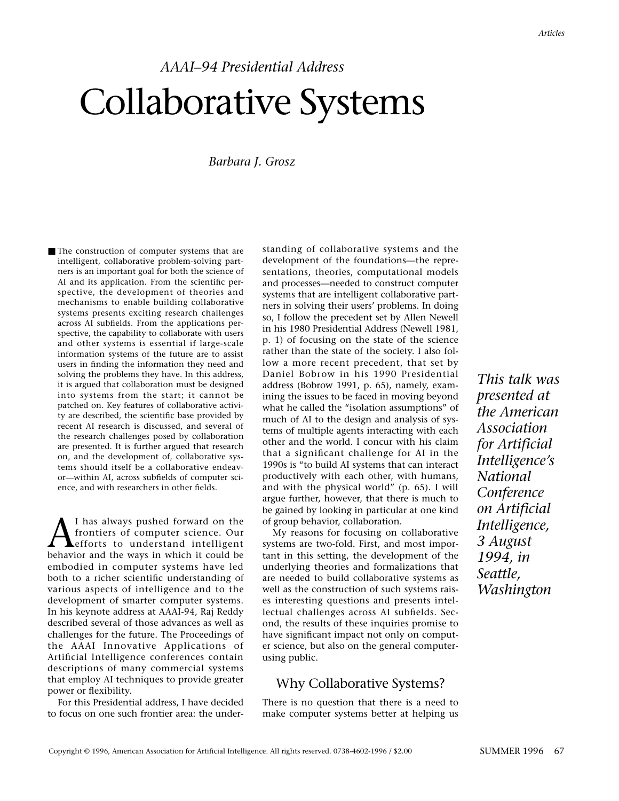# *AAAI–94 Presidential Address* Collaborative Systems

#### *Barbara J. Grosz*

■ The construction of computer systems that are intelligent, collaborative problem-solving partners is an important goal for both the science of AI and its application. From the scientific perspective, the development of theories and mechanisms to enable building collaborative systems presents exciting research challenges across AI subfields. From the applications perspective, the capability to collaborate with users and other systems is essential if large-scale information systems of the future are to assist users in finding the information they need and solving the problems they have. In this address, it is argued that collaboration must be designed into systems from the start; it cannot be patched on. Key features of collaborative activity are described, the scientific base provided by recent AI research is discussed, and several of the research challenges posed by collaboration are presented. It is further argued that research on, and the development of, collaborative systems should itself be a collaborative endeavor—within AI, across subfields of computer science, and with researchers in other fields.

 $\Lambda$ <sup>I has always pushed forward on the<br>frontiers of computer science. Our<br>hehavior and the ways in which it could be</sup> frontiers of computer science. Our efforts to understand intelligent behavior and the ways in which it could be embodied in computer systems have led both to a richer scientific understanding of various aspects of intelligence and to the development of smarter computer systems. In his keynote address at AAAI-94, Raj Reddy described several of those advances as well as challenges for the future. The Proceedings of the AAAI Innovative Applications of Artificial Intelligence conferences contain descriptions of many commercial systems that employ AI techniques to provide greater power or flexibility.

For this Presidential address, I have decided to focus on one such frontier area: the understanding of collaborative systems and the development of the foundations—the representations, theories, computational models and processes—needed to construct computer systems that are intelligent collaborative partners in solving their users' problems. In doing so, I follow the precedent set by Allen Newell in his 1980 Presidential Address (Newell 1981, p. 1) of focusing on the state of the science rather than the state of the society. I also follow a more recent precedent, that set by Daniel Bobrow in his 1990 Presidential address (Bobrow 1991, p. 65), namely, examining the issues to be faced in moving beyond what he called the "isolation assumptions" of much of AI to the design and analysis of systems of multiple agents interacting with each other and the world. I concur with his claim that a significant challenge for AI in the 1990s is "to build AI systems that can interact productively with each other, with humans, and with the physical world" (p. 65). I will argue further, however, that there is much to be gained by looking in particular at one kind of group behavior, collaboration.

My reasons for focusing on collaborative systems are two-fold. First, and most important in this setting, the development of the underlying theories and formalizations that are needed to build collaborative systems as well as the construction of such systems raises interesting questions and presents intellectual challenges across AI subfields. Second, the results of these inquiries promise to have significant impact not only on computer science, but also on the general computerusing public.

## Why Collaborative Systems?

There is no question that there is a need to make computer systems better at helping us

*This talk was presented at the American Association for Artificial Intelligence's National Conference on Artificial Intelligence, 3 August 1994, in Seattle, Washington*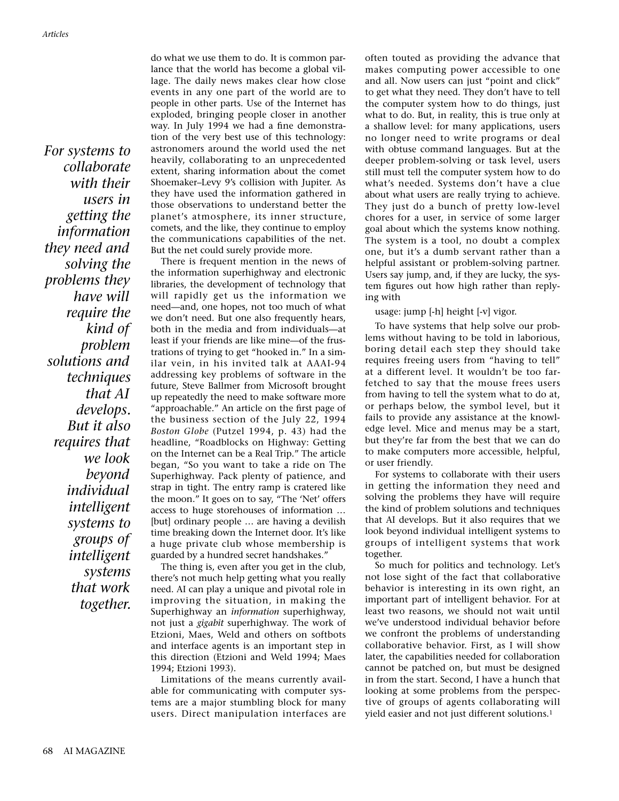*For systems to collaborate with their users in getting the information they need and solving the problems they have will require the kind of problem solutions and techniques that AI develops. But it also requires that we look beyond individual intelligent systems to groups of intelligent systems that work together.*

do what we use them to do. It is common parlance that the world has become a global village. The daily news makes clear how close events in any one part of the world are to people in other parts. Use of the Internet has exploded, bringing people closer in another way. In July 1994 we had a fine demonstration of the very best use of this technology: astronomers around the world used the net heavily, collaborating to an unprecedented extent, sharing information about the comet Shoemaker–Levy 9's collision with Jupiter. As they have used the information gathered in those observations to understand better the planet's atmosphere, its inner structure, comets, and the like, they continue to employ the communications capabilities of the net. But the net could surely provide more.

There is frequent mention in the news of the information superhighway and electronic libraries, the development of technology that will rapidly get us the information we need—and, one hopes, not too much of what we don't need. But one also frequently hears, both in the media and from individuals—at least if your friends are like mine—of the frustrations of trying to get "hooked in." In a similar vein, in his invited talk at AAAI-94 addressing key problems of software in the future, Steve Ballmer from Microsoft brought up repeatedly the need to make software more "approachable." An article on the first page of the business section of the July 22, 1994 *Boston Globe* (Putzel 1994, p. 43) had the headline, "Roadblocks on Highway: Getting on the Internet can be a Real Trip." The article began, "So you want to take a ride on The Superhighway. Pack plenty of patience, and strap in tight. The entry ramp is cratered like the moon." It goes on to say, "The 'Net' offers access to huge storehouses of information … [but] ordinary people … are having a devilish time breaking down the Internet door. It's like a huge private club whose membership is guarded by a hundred secret handshakes."

The thing is, even after you get in the club, there's not much help getting what you really need. AI can play a unique and pivotal role in improving the situation, in making the Superhighway an *information* superhighway, not just a *gigabit* superhighway. The work of Etzioni, Maes, Weld and others on softbots and interface agents is an important step in this direction (Etzioni and Weld 1994; Maes 1994; Etzioni 1993).

Limitations of the means currently available for communicating with computer systems are a major stumbling block for many users. Direct manipulation interfaces are often touted as providing the advance that makes computing power accessible to one and all. Now users can just "point and click" to get what they need. They don't have to tell the computer system how to do things, just what to do. But, in reality, this is true only at a shallow level: for many applications, users no longer need to write programs or deal with obtuse command languages. But at the deeper problem-solving or task level, users still must tell the computer system how to do what's needed. Systems don't have a clue about what users are really trying to achieve. They just do a bunch of pretty low-level chores for a user, in service of some larger goal about which the systems know nothing. The system is a tool, no doubt a complex one, but it's a dumb servant rather than a helpful assistant or problem-solving partner. Users say jump, and, if they are lucky, the system figures out how high rather than replying with

usage: jump [-h] height [-v] vigor.

To have systems that help solve our problems without having to be told in laborious, boring detail each step they should take requires freeing users from "having to tell" at a different level. It wouldn't be too farfetched to say that the mouse frees users from having to tell the system what to do at, or perhaps below, the symbol level, but it fails to provide any assistance at the knowledge level. Mice and menus may be a start, but they're far from the best that we can do to make computers more accessible, helpful, or user friendly.

For systems to collaborate with their users in getting the information they need and solving the problems they have will require the kind of problem solutions and techniques that AI develops. But it also requires that we look beyond individual intelligent systems to groups of intelligent systems that work together.

So much for politics and technology. Let's not lose sight of the fact that collaborative behavior is interesting in its own right, an important part of intelligent behavior. For at least two reasons, we should not wait until we've understood individual behavior before we confront the problems of understanding collaborative behavior. First, as I will show later, the capabilities needed for collaboration cannot be patched on, but must be designed in from the start. Second, I have a hunch that looking at some problems from the perspective of groups of agents collaborating will yield easier and not just different solutions.1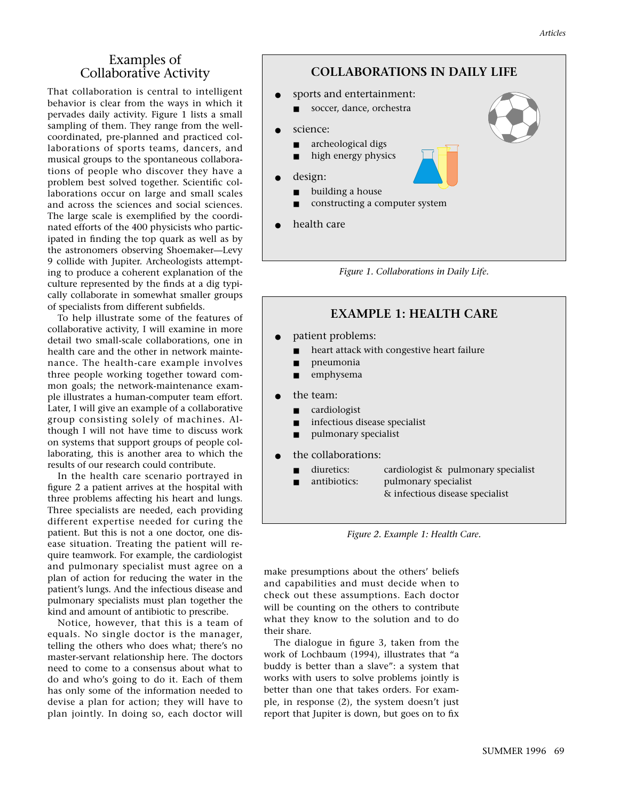## Examples of Collaborative Activity

That collaboration is central to intelligent behavior is clear from the ways in which it pervades daily activity. Figure 1 lists a small sampling of them. They range from the wellcoordinated, pre-planned and practiced collaborations of sports teams, dancers, and musical groups to the spontaneous collaborations of people who discover they have a problem best solved together. Scientific collaborations occur on large and small scales and across the sciences and social sciences. The large scale is exemplified by the coordinated efforts of the 400 physicists who participated in finding the top quark as well as by the astronomers observing Shoemaker—Levy 9 collide with Jupiter. Archeologists attempting to produce a coherent explanation of the culture represented by the finds at a dig typically collaborate in somewhat smaller groups of specialists from different subfields.

To help illustrate some of the features of collaborative activity, I will examine in more detail two small-scale collaborations, one in health care and the other in network maintenance. The health-care example involves three people working together toward common goals; the network-maintenance example illustrates a human-computer team effort. Later, I will give an example of a collaborative group consisting solely of machines. Although I will not have time to discuss work on systems that support groups of people collaborating, this is another area to which the results of our research could contribute.

In the health care scenario portrayed in figure 2 a patient arrives at the hospital with three problems affecting his heart and lungs. Three specialists are needed, each providing different expertise needed for curing the patient. But this is not a one doctor, one disease situation. Treating the patient will require teamwork. For example, the cardiologist and pulmonary specialist must agree on a plan of action for reducing the water in the patient's lungs. And the infectious disease and pulmonary specialists must plan together the kind and amount of antibiotic to prescribe.

Notice, however, that this is a team of equals. No single doctor is the manager, telling the others who does what; there's no master-servant relationship here. The doctors need to come to a consensus about what to do and who's going to do it. Each of them has only some of the information needed to devise a plan for action; they will have to plan jointly. In doing so, each doctor will



- sports and entertainment:
	- soccer, dance, orchestra
	- science:

● design:

- archeological digs
- high energy physics
- 
- building a house
- constructing a computer system
- health care

*Figure 1. Collaborations in Daily Life.*

## **EXAMPLE 1: HEALTH CARE**

- patient problems:
	- heart attack with congestive heart failure
	- pneumonia
	- emphysema
- the team:
	- cardiologist
	- infectious disease specialist
	- pulmonary specialist
- the collaborations:
	- diuretics: cardiologist & pulmonary specialist
	- antibiotics: pulmonary specialist
		- & infectious disease specialist

*Figure 2. Example 1: Health Care.*

make presumptions about the others' beliefs and capabilities and must decide when to check out these assumptions. Each doctor will be counting on the others to contribute what they know to the solution and to do their share.

The dialogue in figure 3, taken from the work of Lochbaum (1994), illustrates that "a buddy is better than a slave": a system that works with users to solve problems jointly is better than one that takes orders. For example, in response (2), the system doesn't just report that Jupiter is down, but goes on to fix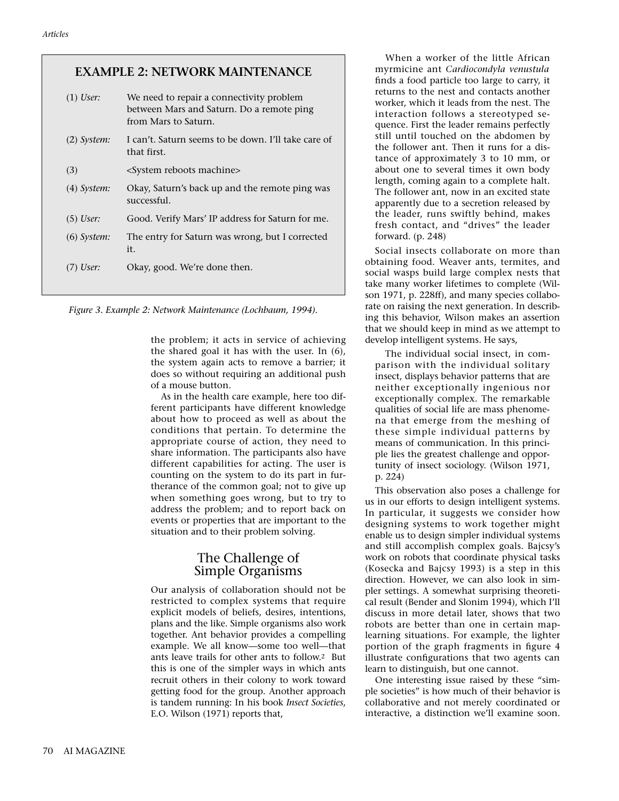## **EXAMPLE 2: NETWORK MAINTENANCE**

| $(1)$ User:   | We need to repair a connectivity problem<br>between Mars and Saturn. Do a remote ping<br>from Mars to Saturn. |
|---------------|---------------------------------------------------------------------------------------------------------------|
| $(2)$ System: | I can't. Saturn seems to be down. I'll take care of<br>that first.                                            |
| (3)           | <system machine="" reboots=""></system>                                                                       |
| $(4)$ System: | Okay, Saturn's back up and the remote ping was<br>successful.                                                 |
| $(5)$ User:   | Good. Verify Mars' IP address for Saturn for me.                                                              |
| $(6)$ System: | The entry for Saturn was wrong, but I corrected<br>it.                                                        |
| $)$ User:     | Okay, good. We're done then.                                                                                  |

*Figure 3. Example 2: Network Maintenance (Lochbaum, 1994).*

the problem; it acts in service of achieving the shared goal it has with the user. In (6), the system again acts to remove a barrier; it does so without requiring an additional push of a mouse button.

As in the health care example, here too different participants have different knowledge about how to proceed as well as about the conditions that pertain. To determine the appropriate course of action, they need to share information. The participants also have different capabilities for acting. The user is counting on the system to do its part in furtherance of the common goal; not to give up when something goes wrong, but to try to address the problem; and to report back on events or properties that are important to the situation and to their problem solving.

## The Challenge of Simple Organisms

Our analysis of collaboration should not be restricted to complex systems that require explicit models of beliefs, desires, intentions, plans and the like. Simple organisms also work together. Ant behavior provides a compelling example. We all know—some too well—that ants leave trails for other ants to follow.2 But this is one of the simpler ways in which ants recruit others in their colony to work toward getting food for the group. Another approach is tandem running: In his book *Insect Societies*, E.O. Wilson (1971) reports that,

When a worker of the little African myrmicine ant *Cardiocondyla venustula* finds a food particle too large to carry, it returns to the nest and contacts another worker, which it leads from the nest. The interaction follows a stereotyped sequence. First the leader remains perfectly still until touched on the abdomen by the follower ant. Then it runs for a distance of approximately 3 to 10 mm, or about one to several times it own body length, coming again to a complete halt. The follower ant, now in an excited state apparently due to a secretion released by the leader, runs swiftly behind, makes fresh contact, and "drives" the leader forward. (p. 248)

Social insects collaborate on more than obtaining food. Weaver ants, termites, and social wasps build large complex nests that take many worker lifetimes to complete (Wilson 1971, p. 228ff), and many species collaborate on raising the next generation. In describing this behavior, Wilson makes an assertion that we should keep in mind as we attempt to develop intelligent systems. He says,

The individual social insect, in comparison with the individual solitary insect, displays behavior patterns that are neither exceptionally ingenious nor exceptionally complex. The remarkable qualities of social life are mass phenomena that emerge from the meshing of these simple individual patterns by means of communication. In this principle lies the greatest challenge and opportunity of insect sociology. (Wilson 1971, p. 224)

This observation also poses a challenge for us in our efforts to design intelligent systems. In particular, it suggests we consider how designing systems to work together might enable us to design simpler individual systems and still accomplish complex goals. Bajcsy's work on robots that coordinate physical tasks (Kosecka and Bajcsy 1993) is a step in this direction. However, we can also look in simpler settings. A somewhat surprising theoretical result (Bender and Slonim 1994), which I'll discuss in more detail later, shows that two robots are better than one in certain maplearning situations. For example, the lighter portion of the graph fragments in figure 4 illustrate configurations that two agents can learn to distinguish, but one cannot.

One interesting issue raised by these "simple societies" is how much of their behavior is collaborative and not merely coordinated or interactive, a distinction we'll examine soon.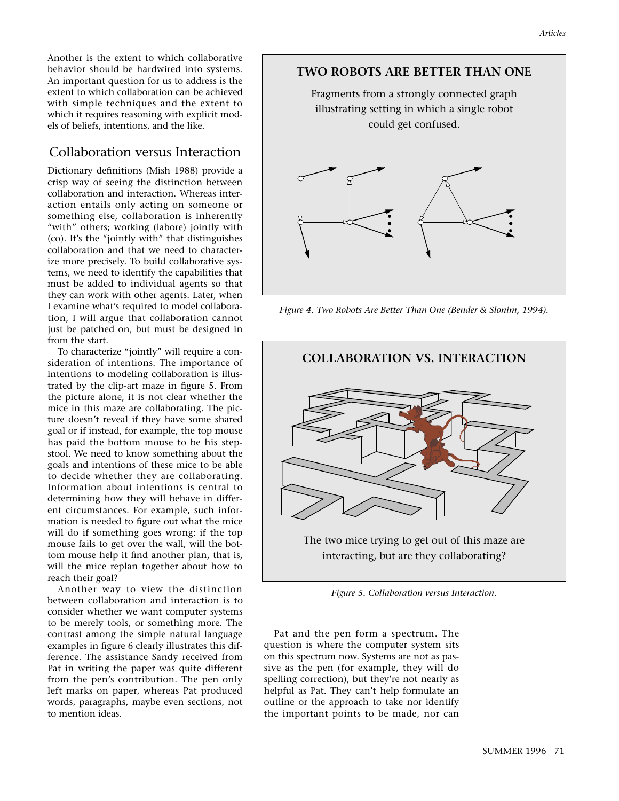Another is the extent to which collaborative behavior should be hardwired into systems. An important question for us to address is the extent to which collaboration can be achieved with simple techniques and the extent to which it requires reasoning with explicit models of beliefs, intentions, and the like.

## Collaboration versus Interaction

Dictionary definitions (Mish 1988) provide a crisp way of seeing the distinction between collaboration and interaction. Whereas interaction entails only acting on someone or something else, collaboration is inherently "with" others; working (labore) jointly with (co). It's the "jointly with" that distinguishes collaboration and that we need to characterize more precisely. To build collaborative systems, we need to identify the capabilities that must be added to individual agents so that they can work with other agents. Later, when I examine what's required to model collaboration, I will argue that collaboration cannot just be patched on, but must be designed in from the start.

To characterize "jointly" will require a consideration of intentions. The importance of intentions to modeling collaboration is illustrated by the clip-art maze in figure 5. From the picture alone, it is not clear whether the mice in this maze are collaborating. The picture doesn't reveal if they have some shared goal or if instead, for example, the top mouse has paid the bottom mouse to be his stepstool. We need to know something about the goals and intentions of these mice to be able to decide whether they are collaborating. Information about intentions is central to determining how they will behave in different circumstances. For example, such information is needed to figure out what the mice will do if something goes wrong: if the top mouse fails to get over the wall, will the bottom mouse help it find another plan, that is, will the mice replan together about how to reach their goal?

Another way to view the distinction between collaboration and interaction is to consider whether we want computer systems to be merely tools, or something more. The contrast among the simple natural language examples in figure 6 clearly illustrates this difference. The assistance Sandy received from Pat in writing the paper was quite different from the pen's contribution. The pen only left marks on paper, whereas Pat produced words, paragraphs, maybe even sections, not to mention ideas.



*Figure 4. Two Robots Are Better Than One (Bender & Slonim, 1994).*



*Figure 5. Collaboration versus Interaction.*

Pat and the pen form a spectrum. The question is where the computer system sits on this spectrum now. Systems are not as passive as the pen (for example, they will do spelling correction), but they're not nearly as helpful as Pat. They can't help formulate an outline or the approach to take nor identify the important points to be made, nor can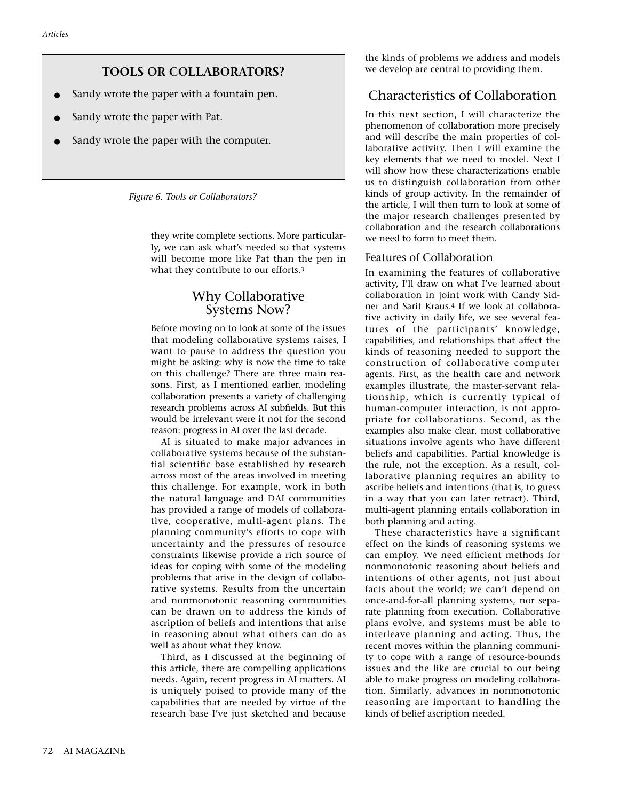## **TOOLS OR COLLABORATORS?**

- Sandy wrote the paper with a fountain pen.
- Sandy wrote the paper with Pat.
- Sandy wrote the paper with the computer.

*Figure 6. Tools or Collaborators?*

they write complete sections. More particularly, we can ask what's needed so that systems will become more like Pat than the pen in what they contribute to our efforts.3

## Why Collaborative Systems Now?

Before moving on to look at some of the issues that modeling collaborative systems raises, I want to pause to address the question you might be asking: why is now the time to take on this challenge? There are three main reasons. First, as I mentioned earlier, modeling collaboration presents a variety of challenging research problems across AI subfields. But this would be irrelevant were it not for the second reason: progress in AI over the last decade.

AI is situated to make major advances in collaborative systems because of the substantial scientific base established by research across most of the areas involved in meeting this challenge. For example, work in both the natural language and DAI communities has provided a range of models of collaborative, cooperative, multi-agent plans. The planning community's efforts to cope with uncertainty and the pressures of resource constraints likewise provide a rich source of ideas for coping with some of the modeling problems that arise in the design of collaborative systems. Results from the uncertain and nonmonotonic reasoning communities can be drawn on to address the kinds of ascription of beliefs and intentions that arise in reasoning about what others can do as well as about what they know.

Third, as I discussed at the beginning of this article, there are compelling applications needs. Again, recent progress in AI matters. AI is uniquely poised to provide many of the capabilities that are needed by virtue of the research base I've just sketched and because

the kinds of problems we address and models we develop are central to providing them.

## Characteristics of Collaboration

In this next section, I will characterize the phenomenon of collaboration more precisely and will describe the main properties of collaborative activity. Then I will examine the key elements that we need to model. Next I will show how these characterizations enable us to distinguish collaboration from other kinds of group activity. In the remainder of the article, I will then turn to look at some of the major research challenges presented by collaboration and the research collaborations we need to form to meet them.

#### Features of Collaboration

In examining the features of collaborative activity, I'll draw on what I've learned about collaboration in joint work with Candy Sidner and Sarit Kraus.4 If we look at collaborative activity in daily life, we see several features of the participants' knowledge, capabilities, and relationships that affect the kinds of reasoning needed to support the construction of collaborative computer agents. First, as the health care and network examples illustrate, the master-servant relationship, which is currently typical of human-computer interaction, is not appropriate for collaborations. Second, as the examples also make clear, most collaborative situations involve agents who have different beliefs and capabilities. Partial knowledge is the rule, not the exception. As a result, collaborative planning requires an ability to ascribe beliefs and intentions (that is, to guess in a way that you can later retract). Third, multi-agent planning entails collaboration in both planning and acting.

These characteristics have a significant effect on the kinds of reasoning systems we can employ. We need efficient methods for nonmonotonic reasoning about beliefs and intentions of other agents, not just about facts about the world; we can't depend on once-and-for-all planning systems, nor separate planning from execution. Collaborative plans evolve, and systems must be able to interleave planning and acting. Thus, the recent moves within the planning community to cope with a range of resource-bounds issues and the like are crucial to our being able to make progress on modeling collaboration. Similarly, advances in nonmonotonic reasoning are important to handling the kinds of belief ascription needed.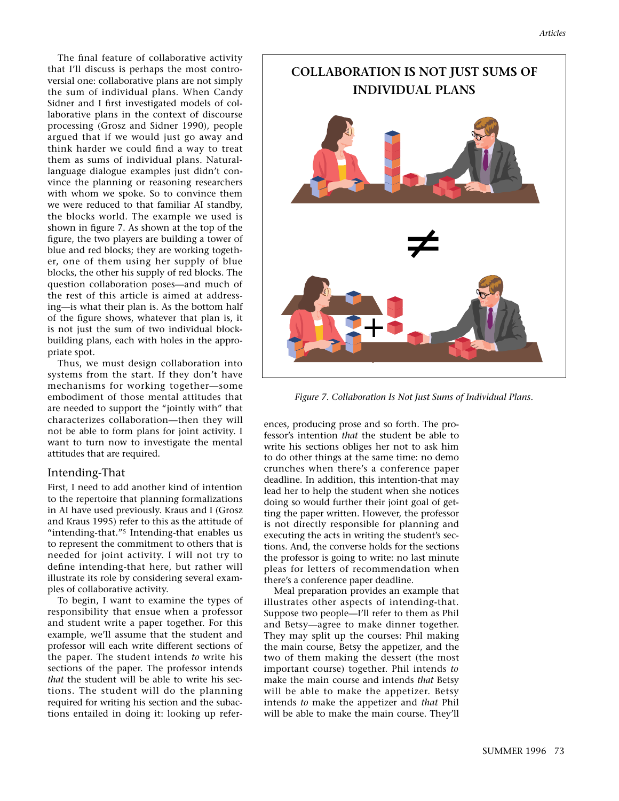The final feature of collaborative activity that I'll discuss is perhaps the most controversial one: collaborative plans are not simply the sum of individual plans. When Candy Sidner and I first investigated models of collaborative plans in the context of discourse processing (Grosz and Sidner 1990), people argued that if we would just go away and think harder we could find a way to treat them as sums of individual plans. Naturallanguage dialogue examples just didn't convince the planning or reasoning researchers with whom we spoke. So to convince them we were reduced to that familiar AI standby, the blocks world. The example we used is shown in figure 7. As shown at the top of the figure, the two players are building a tower of blue and red blocks; they are working together, one of them using her supply of blue blocks, the other his supply of red blocks. The question collaboration poses—and much of the rest of this article is aimed at addressing—is what their plan is. As the bottom half of the figure shows, whatever that plan is, it is not just the sum of two individual blockbuilding plans, each with holes in the appropriate spot.

Thus, we must design collaboration into systems from the start. If they don't have mechanisms for working together—some embodiment of those mental attitudes that are needed to support the "jointly with" that characterizes collaboration—then they will not be able to form plans for joint activity. I want to turn now to investigate the mental attitudes that are required.

#### Intending-That

First, I need to add another kind of intention to the repertoire that planning formalizations in AI have used previously. Kraus and I (Grosz and Kraus 1995) refer to this as the attitude of "intending-that."5 Intending-that enables us to represent the commitment to others that is needed for joint activity. I will not try to define intending-that here, but rather will illustrate its role by considering several examples of collaborative activity.

To begin, I want to examine the types of responsibility that ensue when a professor and student write a paper together. For this example, we'll assume that the student and professor will each write different sections of the paper. The student intends *to* write his sections of the paper. The professor intends *that* the student will be able to write his sections. The student will do the planning required for writing his section and the subactions entailed in doing it: looking up refer-



*Figure 7. Collaboration Is Not Just Sums of Individual Plans.*

ences, producing prose and so forth. The professor's intention *that* the student be able to write his sections obliges her not to ask him to do other things at the same time: no demo crunches when there's a conference paper deadline. In addition, this intention-that may lead her to help the student when she notices doing so would further their joint goal of getting the paper written. However, the professor is not directly responsible for planning and executing the acts in writing the student's sections. And, the converse holds for the sections the professor is going to write: no last minute pleas for letters of recommendation when there's a conference paper deadline.

Meal preparation provides an example that illustrates other aspects of intending-that. Suppose two people—I'll refer to them as Phil and Betsy—agree to make dinner together. They may split up the courses: Phil making the main course, Betsy the appetizer, and the two of them making the dessert (the most important course) together. Phil intends *to* make the main course and intends *that* Betsy will be able to make the appetizer. Betsy intends *to* make the appetizer and *that* Phil will be able to make the main course. They'll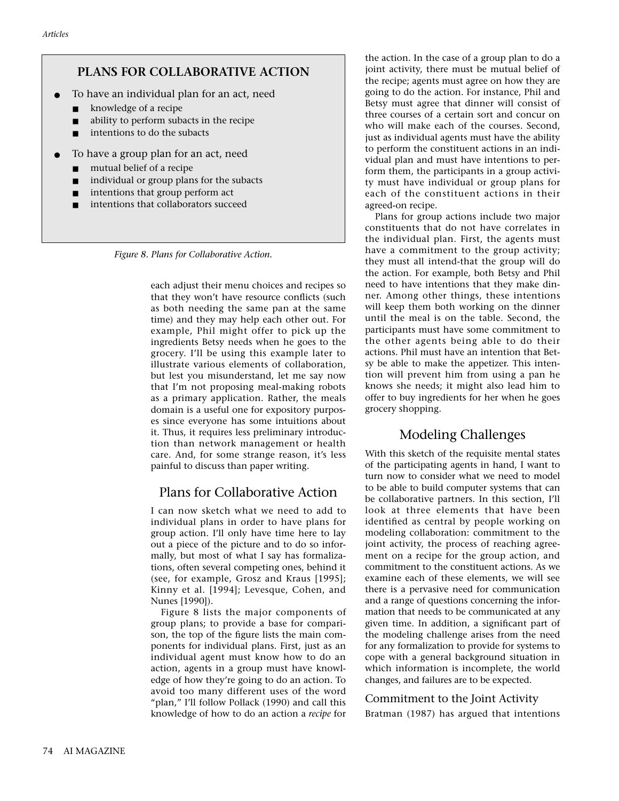## **PLANS FOR COLLABORATIVE ACTION**

- To have an individual plan for an act, need
	- knowledge of a recipe
	- ability to perform subacts in the recipe
	- intentions to do the subacts
- To have a group plan for an act, need
	- mutual belief of a recipe
	- individual or group plans for the subacts
	- intentions that group perform act
	- intentions that collaborators succeed

*Figure 8. Plans for Collaborative Action.*

each adjust their menu choices and recipes so that they won't have resource conflicts (such as both needing the same pan at the same time) and they may help each other out. For example, Phil might offer to pick up the ingredients Betsy needs when he goes to the grocery. I'll be using this example later to illustrate various elements of collaboration, but lest you misunderstand, let me say now that I'm not proposing meal-making robots as a primary application. Rather, the meals domain is a useful one for expository purposes since everyone has some intuitions about it. Thus, it requires less preliminary introduction than network management or health care. And, for some strange reason, it's less painful to discuss than paper writing.

## Plans for Collaborative Action

I can now sketch what we need to add to individual plans in order to have plans for group action. I'll only have time here to lay out a piece of the picture and to do so informally, but most of what I say has formalizations, often several competing ones, behind it (see, for example, Grosz and Kraus [1995]; Kinny et al. [1994]; Levesque, Cohen, and Nunes [1990]).

Figure 8 lists the major components of group plans; to provide a base for comparison, the top of the figure lists the main components for individual plans. First, just as an individual agent must know how to do an action, agents in a group must have knowledge of how they're going to do an action. To avoid too many different uses of the word "plan," I'll follow Pollack (1990) and call this knowledge of how to do an action a *recipe* for

the action. In the case of a group plan to do a joint activity, there must be mutual belief of the recipe; agents must agree on how they are going to do the action. For instance, Phil and Betsy must agree that dinner will consist of three courses of a certain sort and concur on who will make each of the courses. Second, just as individual agents must have the ability to perform the constituent actions in an individual plan and must have intentions to perform them, the participants in a group activity must have individual or group plans for each of the constituent actions in their agreed-on recipe.

Plans for group actions include two major constituents that do not have correlates in the individual plan. First, the agents must have a commitment to the group activity; they must all intend-that the group will do the action. For example, both Betsy and Phil need to have intentions that they make dinner. Among other things, these intentions will keep them both working on the dinner until the meal is on the table. Second, the participants must have some commitment to the other agents being able to do their actions. Phil must have an intention that Betsy be able to make the appetizer. This intention will prevent him from using a pan he knows she needs; it might also lead him to offer to buy ingredients for her when he goes grocery shopping.

## Modeling Challenges

With this sketch of the requisite mental states of the participating agents in hand, I want to turn now to consider what we need to model to be able to build computer systems that can be collaborative partners. In this section, I'll look at three elements that have been identified as central by people working on modeling collaboration: commitment to the joint activity, the process of reaching agreement on a recipe for the group action, and commitment to the constituent actions. As we examine each of these elements, we will see there is a pervasive need for communication and a range of questions concerning the information that needs to be communicated at any given time. In addition, a significant part of the modeling challenge arises from the need for any formalization to provide for systems to cope with a general background situation in which information is incomplete, the world changes, and failures are to be expected.

## Commitment to the Joint Activity

Bratman (1987) has argued that intentions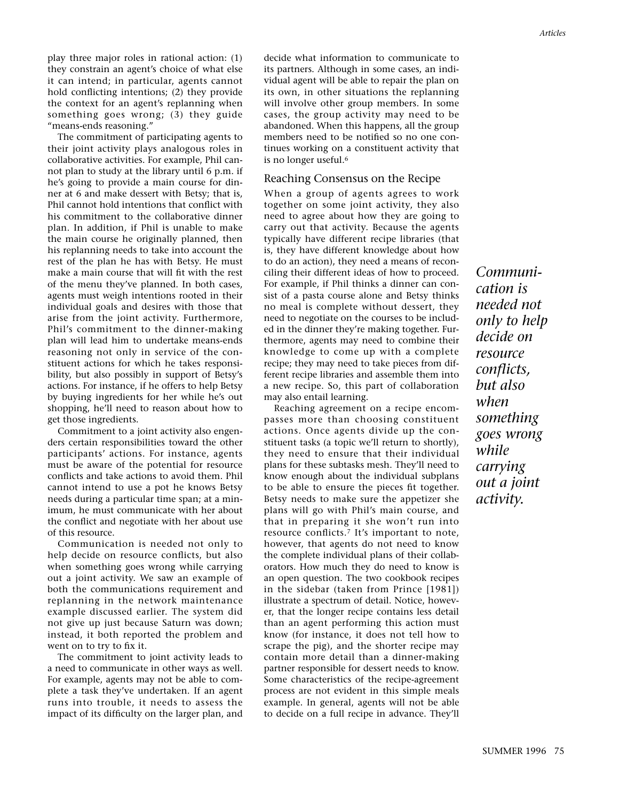play three major roles in rational action: (1) they constrain an agent's choice of what else it can intend; in particular, agents cannot hold conflicting intentions; (2) they provide the context for an agent's replanning when something goes wrong; (3) they guide "means-ends reasoning."

The commitment of participating agents to their joint activity plays analogous roles in collaborative activities. For example, Phil cannot plan to study at the library until 6 p.m. if he's going to provide a main course for dinner at 6 and make dessert with Betsy; that is, Phil cannot hold intentions that conflict with his commitment to the collaborative dinner plan. In addition, if Phil is unable to make the main course he originally planned, then his replanning needs to take into account the rest of the plan he has with Betsy. He must make a main course that will fit with the rest of the menu they've planned. In both cases, agents must weigh intentions rooted in their individual goals and desires with those that arise from the joint activity. Furthermore, Phil's commitment to the dinner-making plan will lead him to undertake means-ends reasoning not only in service of the constituent actions for which he takes responsibility, but also possibly in support of Betsy's actions. For instance, if he offers to help Betsy by buying ingredients for her while he's out shopping, he'll need to reason about how to get those ingredients.

Commitment to a joint activity also engenders certain responsibilities toward the other participants' actions. For instance, agents must be aware of the potential for resource conflicts and take actions to avoid them. Phil cannot intend to use a pot he knows Betsy needs during a particular time span; at a minimum, he must communicate with her about the conflict and negotiate with her about use of this resource.

Communication is needed not only to help decide on resource conflicts, but also when something goes wrong while carrying out a joint activity. We saw an example of both the communications requirement and replanning in the network maintenance example discussed earlier. The system did not give up just because Saturn was down; instead, it both reported the problem and went on to try to fix it.

The commitment to joint activity leads to a need to communicate in other ways as well. For example, agents may not be able to complete a task they've undertaken. If an agent runs into trouble, it needs to assess the impact of its difficulty on the larger plan, and

decide what information to communicate to its partners. Although in some cases, an individual agent will be able to repair the plan on its own, in other situations the replanning will involve other group members. In some cases, the group activity may need to be abandoned. When this happens, all the group members need to be notified so no one continues working on a constituent activity that is no longer useful.6

#### Reaching Consensus on the Recipe

When a group of agents agrees to work together on some joint activity, they also need to agree about how they are going to carry out that activity. Because the agents typically have different recipe libraries (that is, they have different knowledge about how to do an action), they need a means of reconciling their different ideas of how to proceed. For example, if Phil thinks a dinner can consist of a pasta course alone and Betsy thinks no meal is complete without dessert, they need to negotiate on the courses to be included in the dinner they're making together. Furthermore, agents may need to combine their knowledge to come up with a complete recipe; they may need to take pieces from different recipe libraries and assemble them into a new recipe. So, this part of collaboration may also entail learning.

Reaching agreement on a recipe encompasses more than choosing constituent actions. Once agents divide up the constituent tasks (a topic we'll return to shortly), they need to ensure that their individual plans for these subtasks mesh. They'll need to know enough about the individual subplans to be able to ensure the pieces fit together. Betsy needs to make sure the appetizer she plans will go with Phil's main course, and that in preparing it she won't run into resource conflicts.7 It's important to note, however, that agents do not need to know the complete individual plans of their collaborators. How much they do need to know is an open question. The two cookbook recipes in the sidebar (taken from Prince [1981]) illustrate a spectrum of detail. Notice, however, that the longer recipe contains less detail than an agent performing this action must know (for instance, it does not tell how to scrape the pig), and the shorter recipe may contain more detail than a dinner-making partner responsible for dessert needs to know. Some characteristics of the recipe-agreement process are not evident in this simple meals example. In general, agents will not be able to decide on a full recipe in advance. They'll

*Communication is needed not only to help decide on resource conflicts, but also when something goes wrong while carrying out a joint activity.*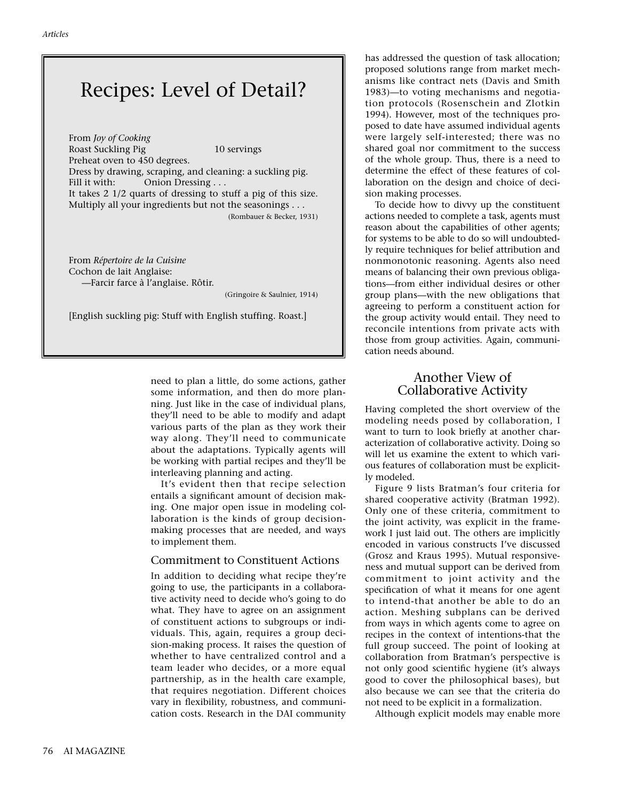## Recipes: Level of Detail?

From *Joy of Cooking* Roast Suckling Pig 10 servings Preheat oven to 450 degrees. Dress by drawing, scraping, and cleaning: a suckling pig. Fill it with: Onion Dressing . . . It takes 2 1/2 quarts of dressing to stuff a pig of this size. Multiply all your ingredients but not the seasonings . . . (Rombauer & Becker, 1931)

From *Répertoire de la Cuisine* Cochon de lait Anglaise: —Farcir farce à l'anglaise. Rôtir.

(Gringoire & Saulnier, 1914)

[English suckling pig: Stuff with English stuffing. Roast.]

need to plan a little, do some actions, gather some information, and then do more planning. Just like in the case of individual plans, they'll need to be able to modify and adapt various parts of the plan as they work their way along. They'll need to communicate about the adaptations. Typically agents will be working with partial recipes and they'll be interleaving planning and acting.

It's evident then that recipe selection entails a significant amount of decision making. One major open issue in modeling collaboration is the kinds of group decisionmaking processes that are needed, and ways to implement them.

#### Commitment to Constituent Actions

In addition to deciding what recipe they're going to use, the participants in a collaborative activity need to decide who's going to do what. They have to agree on an assignment of constituent actions to subgroups or individuals. This, again, requires a group decision-making process. It raises the question of whether to have centralized control and a team leader who decides, or a more equal partnership, as in the health care example, that requires negotiation. Different choices vary in flexibility, robustness, and communication costs. Research in the DAI community

has addressed the question of task allocation; proposed solutions range from market mechanisms like contract nets (Davis and Smith 1983)—to voting mechanisms and negotiation protocols (Rosenschein and Zlotkin 1994). However, most of the techniques proposed to date have assumed individual agents were largely self-interested; there was no shared goal nor commitment to the success of the whole group. Thus, there is a need to determine the effect of these features of collaboration on the design and choice of decision making processes.

To decide how to divvy up the constituent actions needed to complete a task, agents must reason about the capabilities of other agents; for systems to be able to do so will undoubtedly require techniques for belief attribution and nonmonotonic reasoning. Agents also need means of balancing their own previous obligations—from either individual desires or other group plans—with the new obligations that agreeing to perform a constituent action for the group activity would entail. They need to reconcile intentions from private acts with those from group activities. Again, communication needs abound.

## Another View of Collaborative Activity

Having completed the short overview of the modeling needs posed by collaboration, I want to turn to look briefly at another characterization of collaborative activity. Doing so will let us examine the extent to which various features of collaboration must be explicitly modeled.

Figure 9 lists Bratman's four criteria for shared cooperative activity (Bratman 1992). Only one of these criteria, commitment to the joint activity, was explicit in the framework I just laid out. The others are implicitly encoded in various constructs I've discussed (Grosz and Kraus 1995). Mutual responsiveness and mutual support can be derived from commitment to joint activity and the specification of what it means for one agent to intend-that another be able to do an action. Meshing subplans can be derived from ways in which agents come to agree on recipes in the context of intentions-that the full group succeed. The point of looking at collaboration from Bratman's perspective is not only good scientific hygiene (it's always good to cover the philosophical bases), but also because we can see that the criteria do not need to be explicit in a formalization.

Although explicit models may enable more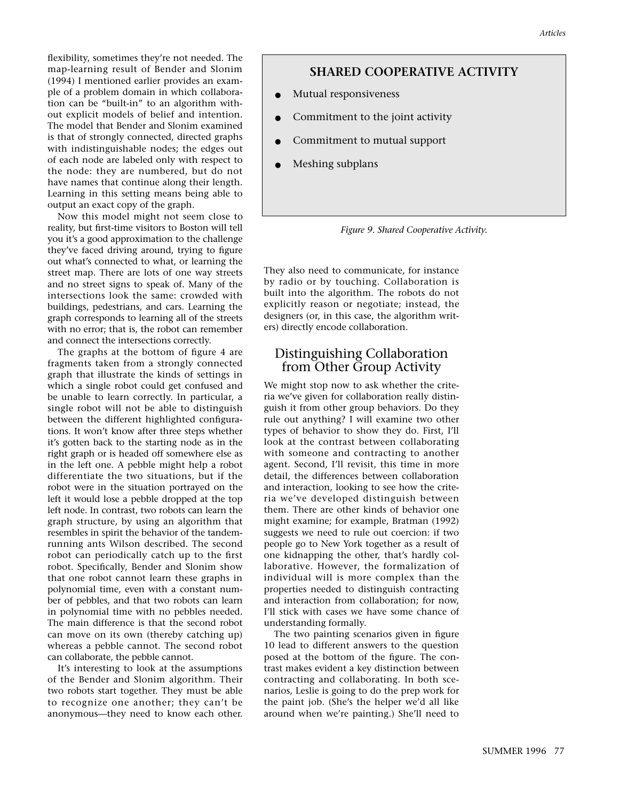flexibility, sometimes they're not needed. The map-learning result of Bender and Slonim (1994) I mentioned earlier provides an example of a problem domain in which collaboration can be "built-in" to an algorithm without explicit models of belief and intention. The model that Bender and Slonim examined is that of strongly connected, directed graphs with indistinguishable nodes; the edges out of each node are labeled only with respect to the node: they are numbered, but do not have names that continue along their length. Learning in this setting means being able to output an exact copy of the graph.

Now this model might not seem close to reality, but first-time visitors to Boston will tell you it's a good approximation to the challenge they've faced driving around, trying to figure out what's connected to what, or learning the street map. There are lots of one way streets and no street signs to speak of. Many of the intersections look the same: crowded with buildings, pedestrians, and cars. Learning the graph corresponds to learning all of the streets with no error; that is, the robot can remember and connect the intersections correctly.

The graphs at the bottom of figure 4 are fragments taken from a strongly connected graph that illustrate the kinds of settings in which a single robot could get confused and be unable to learn correctly. In particular, a single robot will not be able to distinguish between the different highlighted configurations. It won't know after three steps whether it's gotten back to the starting node as in the right graph or is headed off somewhere else as in the left one. A pebble might help a robot differentiate the two situations, but if the robot were in the situation portrayed on the left it would lose a pebble dropped at the top left node. In contrast, two robots can learn the graph structure, by using an algorithm that resembles in spirit the behavior of the tandemrunning ants Wilson described. The second robot can periodically catch up to the first robot. Specifically, Bender and Slonim show that one robot cannot learn these graphs in polynomial time, even with a constant number of pebbles, and that two robots can learn in polynomial time with no pebbles needed. The main difference is that the second robot can move on its own (thereby catching up) whereas a pebble cannot. The second robot can collaborate, the pebble cannot.

It's interesting to look at the assumptions of the Bender and Slonim algorithm. Their two robots start together. They must be able to recognize one another; they can't be anonymous—they need to know each other.

#### **SHARED COOPERATIVE ACTIVITY**

- Mutual responsiveness
- Commitment to the joint activity
- Commitment to mutual support
- Meshing subplans



They also need to communicate, for instance by radio or by touching. Collaboration is built into the algorithm. The robots do not explicitly reason or negotiate; instead, the designers (or, in this case, the algorithm writers) directly encode collaboration.

## Distinguishing Collaboration from Other Group Activity

We might stop now to ask whether the criteria we've given for collaboration really distinguish it from other group behaviors. Do they rule out anything? I will examine two other types of behavior to show they do. First, I'll look at the contrast between collaborating with someone and contracting to another agent. Second, I'll revisit, this time in more detail, the differences between collaboration and interaction, looking to see how the criteria we've developed distinguish between them. There are other kinds of behavior one might examine; for example, Bratman (1992) suggests we need to rule out coercion: if two people go to New York together as a result of one kidnapping the other, that's hardly collaborative. However, the formalization of individual will is more complex than the properties needed to distinguish contracting and interaction from collaboration; for now, I'll stick with cases we have some chance of understanding formally.

The two painting scenarios given in figure 10 lead to different answers to the question posed at the bottom of the figure. The contrast makes evident a key distinction between contracting and collaborating. In both scenarios, Leslie is going to do the prep work for the paint job. (She's the helper we'd all like around when we're painting.) She'll need to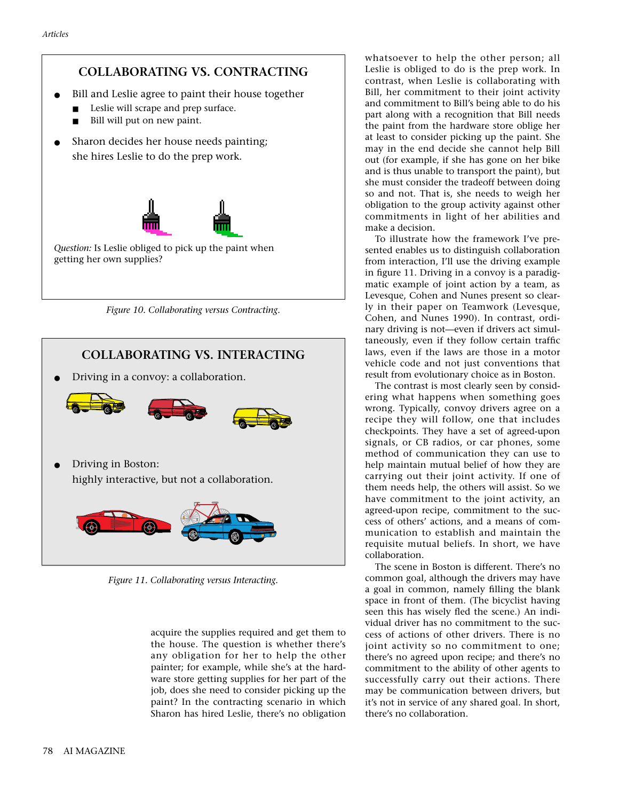## **COLLABORATING VS. CONTRACTING**

- Bill and Leslie agree to paint their house together
	- Leslie will scrape and prep surface.
	- Bill will put on new paint.
- Sharon decides her house needs painting; she hires Leslie to do the prep work.



*Figure 10. Collaborating versus Contracting.*



*Figure 11. Collaborating versus Interacting.*

acquire the supplies required and get them to the house. The question is whether there's any obligation for her to help the other painter; for example, while she's at the hardware store getting supplies for her part of the job, does she need to consider picking up the paint? In the contracting scenario in which Sharon has hired Leslie, there's no obligation whatsoever to help the other person; all Leslie is obliged to do is the prep work. In contrast, when Leslie is collaborating with Bill, her commitment to their joint activity and commitment to Bill's being able to do his part along with a recognition that Bill needs the paint from the hardware store oblige her at least to consider picking up the paint. She may in the end decide she cannot help Bill out (for example, if she has gone on her bike and is thus unable to transport the paint), but she must consider the tradeoff between doing so and not. That is, she needs to weigh her obligation to the group activity against other commitments in light of her abilities and make a decision.

To illustrate how the framework I've presented enables us to distinguish collaboration from interaction, I'll use the driving example in figure 11. Driving in a convoy is a paradigmatic example of joint action by a team, as Levesque, Cohen and Nunes present so clearly in their paper on Teamwork (Levesque, Cohen, and Nunes 1990). In contrast, ordinary driving is not—even if drivers act simultaneously, even if they follow certain traffic laws, even if the laws are those in a motor vehicle code and not just conventions that result from evolutionary choice as in Boston.

The contrast is most clearly seen by considering what happens when something goes wrong. Typically, convoy drivers agree on a recipe they will follow, one that includes checkpoints. They have a set of agreed-upon signals, or CB radios, or car phones, some method of communication they can use to help maintain mutual belief of how they are carrying out their joint activity. If one of them needs help, the others will assist. So we have commitment to the joint activity, an agreed-upon recipe, commitment to the success of others' actions, and a means of communication to establish and maintain the requisite mutual beliefs. In short, we have collaboration.

The scene in Boston is different. There's no common goal, although the drivers may have a goal in common, namely filling the blank space in front of them. (The bicyclist having seen this has wisely fled the scene.) An individual driver has no commitment to the success of actions of other drivers. There is no joint activity so no commitment to one; there's no agreed upon recipe; and there's no commitment to the ability of other agents to successfully carry out their actions. There may be communication between drivers, but it's not in service of any shared goal. In short, there's no collaboration.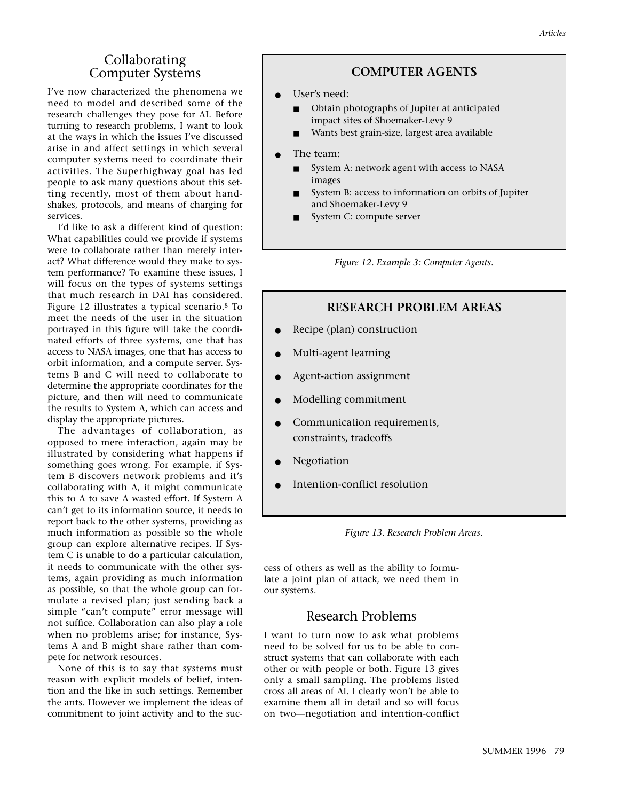I've now characterized the phenomena we need to model and described some of the research challenges they pose for AI. Before turning to research problems, I want to look at the ways in which the issues I've discussed arise in and affect settings in which several computer systems need to coordinate their activities. The Superhighway goal has led people to ask many questions about this setting recently, most of them about handshakes, protocols, and means of charging for services.

I'd like to ask a different kind of question: What capabilities could we provide if systems were to collaborate rather than merely interact? What difference would they make to system performance? To examine these issues, I will focus on the types of systems settings that much research in DAI has considered. Figure 12 illustrates a typical scenario.8 To meet the needs of the user in the situation portrayed in this figure will take the coordinated efforts of three systems, one that has access to NASA images, one that has access to orbit information, and a compute server. Systems B and C will need to collaborate to determine the appropriate coordinates for the picture, and then will need to communicate the results to System A, which can access and display the appropriate pictures.

The advantages of collaboration, as opposed to mere interaction, again may be illustrated by considering what happens if something goes wrong. For example, if System B discovers network problems and it's collaborating with A, it might communicate this to A to save A wasted effort. If System A can't get to its information source, it needs to report back to the other systems, providing as much information as possible so the whole group can explore alternative recipes. If System C is unable to do a particular calculation, it needs to communicate with the other systems, again providing as much information as possible, so that the whole group can formulate a revised plan; just sending back a simple "can't compute" error message will not suffice. Collaboration can also play a role when no problems arise; for instance, Systems A and B might share rather than compete for network resources.

None of this is to say that systems must reason with explicit models of belief, intention and the like in such settings. Remember the ants. However we implement the ideas of commitment to joint activity and to the suc-

## **COMPUTER AGENTS**

- User's need:
	- Obtain photographs of Jupiter at anticipated impact sites of Shoemaker-Levy 9
	- Wants best grain-size, largest area available
- The team:
	- System A: network agent with access to NASA images
	- System B: access to information on orbits of Jupiter and Shoemaker-Levy 9
	- System C: compute server

*Figure 12. Example 3: Computer Agents.*

## **RESEARCH PROBLEM AREAS**

- Recipe (plan) construction
- Multi-agent learning
- Agent-action assignment
- Modelling commitment
- Communication requirements, constraints, tradeoffs
- **Negotiation**
- Intention-conflict resolution

*Figure 13. Research Problem Areas.*

cess of others as well as the ability to formulate a joint plan of attack, we need them in our systems.

## Research Problems

I want to turn now to ask what problems need to be solved for us to be able to construct systems that can collaborate with each other or with people or both. Figure 13 gives only a small sampling. The problems listed cross all areas of AI. I clearly won't be able to examine them all in detail and so will focus on two—negotiation and intention-conflict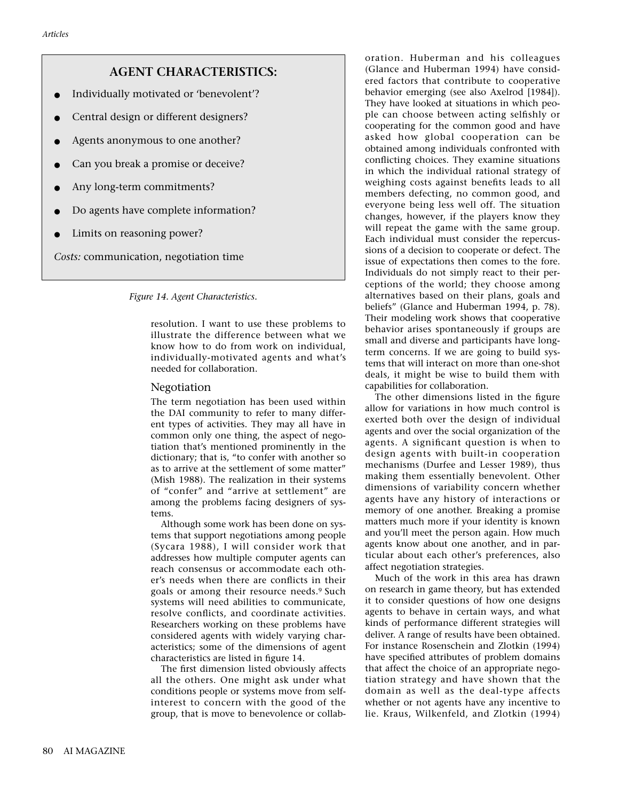## **AGENT CHARACTERISTICS:**

- Individually motivated or 'benevolent'?
- Central design or different designers?
- Agents anonymous to one another?
- Can you break a promise or deceive?
- Any long-term commitments?
- Do agents have complete information?
- Limits on reasoning power?

*Costs:* communication, negotiation time

#### *Figure 14. Agent Characteristics.*

resolution. I want to use these problems to illustrate the difference between what we know how to do from work on individual, individually-motivated agents and what's needed for collaboration.

#### Negotiation

The term negotiation has been used within the DAI community to refer to many different types of activities. They may all have in common only one thing, the aspect of negotiation that's mentioned prominently in the dictionary; that is, "to confer with another so as to arrive at the settlement of some matter" (Mish 1988). The realization in their systems of "confer" and "arrive at settlement" are among the problems facing designers of systems.

Although some work has been done on systems that support negotiations among people (Sycara 1988), I will consider work that addresses how multiple computer agents can reach consensus or accommodate each other's needs when there are conflicts in their goals or among their resource needs.9 Such systems will need abilities to communicate, resolve conflicts, and coordinate activities. Researchers working on these problems have considered agents with widely varying characteristics; some of the dimensions of agent characteristics are listed in figure 14.

The first dimension listed obviously affects all the others. One might ask under what conditions people or systems move from selfinterest to concern with the good of the group, that is move to benevolence or collaboration. Huberman and his colleagues (Glance and Huberman 1994) have considered factors that contribute to cooperative behavior emerging (see also Axelrod [1984]). They have looked at situations in which people can choose between acting selfishly or cooperating for the common good and have asked how global cooperation can be obtained among individuals confronted with conflicting choices. They examine situations in which the individual rational strategy of weighing costs against benefits leads to all members defecting, no common good, and everyone being less well off. The situation changes, however, if the players know they will repeat the game with the same group. Each individual must consider the repercussions of a decision to cooperate or defect. The issue of expectations then comes to the fore. Individuals do not simply react to their perceptions of the world; they choose among alternatives based on their plans, goals and beliefs" (Glance and Huberman 1994, p. 78). Their modeling work shows that cooperative behavior arises spontaneously if groups are small and diverse and participants have longterm concerns. If we are going to build systems that will interact on more than one-shot deals, it might be wise to build them with capabilities for collaboration.

The other dimensions listed in the figure allow for variations in how much control is exerted both over the design of individual agents and over the social organization of the agents. A significant question is when to design agents with built-in cooperation mechanisms (Durfee and Lesser 1989), thus making them essentially benevolent. Other dimensions of variability concern whether agents have any history of interactions or memory of one another. Breaking a promise matters much more if your identity is known and you'll meet the person again. How much agents know about one another, and in particular about each other's preferences, also affect negotiation strategies.

Much of the work in this area has drawn on research in game theory, but has extended it to consider questions of how one designs agents to behave in certain ways, and what kinds of performance different strategies will deliver. A range of results have been obtained. For instance Rosenschein and Zlotkin (1994) have specified attributes of problem domains that affect the choice of an appropriate negotiation strategy and have shown that the domain as well as the deal-type affects whether or not agents have any incentive to lie. Kraus, Wilkenfeld, and Zlotkin (1994)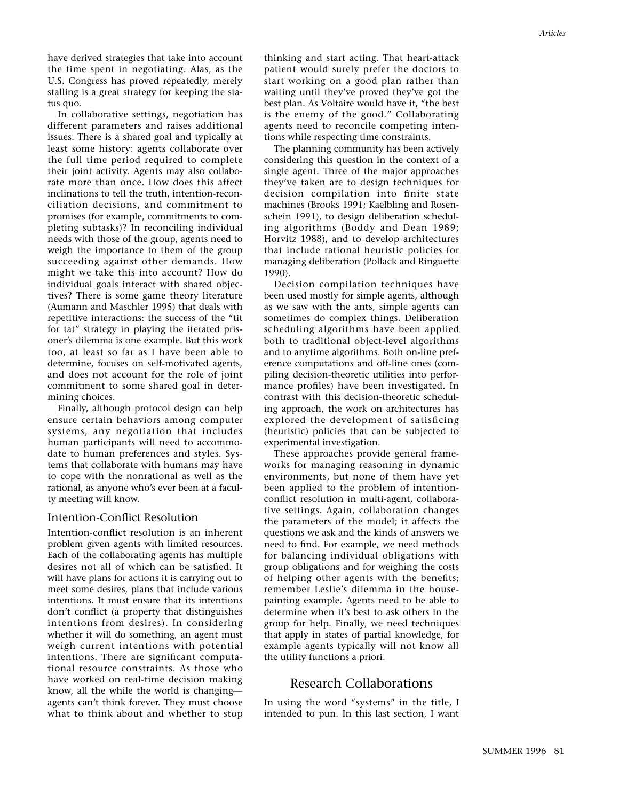have derived strategies that take into account the time spent in negotiating. Alas, as the U.S. Congress has proved repeatedly, merely stalling is a great strategy for keeping the status quo.

In collaborative settings, negotiation has different parameters and raises additional issues. There is a shared goal and typically at least some history: agents collaborate over the full time period required to complete their joint activity. Agents may also collaborate more than once. How does this affect inclinations to tell the truth, intention-reconciliation decisions, and commitment to promises (for example, commitments to completing subtasks)? In reconciling individual needs with those of the group, agents need to weigh the importance to them of the group succeeding against other demands. How might we take this into account? How do individual goals interact with shared objectives? There is some game theory literature (Aumann and Maschler 1995) that deals with repetitive interactions: the success of the "tit for tat" strategy in playing the iterated prisoner's dilemma is one example. But this work too, at least so far as I have been able to determine, focuses on self-motivated agents, and does not account for the role of joint commitment to some shared goal in determining choices.

Finally, although protocol design can help ensure certain behaviors among computer systems, any negotiation that includes human participants will need to accommodate to human preferences and styles. Systems that collaborate with humans may have to cope with the nonrational as well as the rational, as anyone who's ever been at a faculty meeting will know.

#### Intention-Conflict Resolution

Intention-conflict resolution is an inherent problem given agents with limited resources. Each of the collaborating agents has multiple desires not all of which can be satisfied. It will have plans for actions it is carrying out to meet some desires, plans that include various intentions. It must ensure that its intentions don't conflict (a property that distinguishes intentions from desires). In considering whether it will do something, an agent must weigh current intentions with potential intentions. There are significant computational resource constraints. As those who have worked on real-time decision making know, all the while the world is changing agents can't think forever. They must choose what to think about and whether to stop

thinking and start acting. That heart-attack patient would surely prefer the doctors to start working on a good plan rather than waiting until they've proved they've got the best plan. As Voltaire would have it, "the best is the enemy of the good." Collaborating agents need to reconcile competing intentions while respecting time constraints.

The planning community has been actively considering this question in the context of a single agent. Three of the major approaches they've taken are to design techniques for decision compilation into finite state machines (Brooks 1991; Kaelbling and Rosenschein 1991), to design deliberation scheduling algorithms (Boddy and Dean 1989; Horvitz 1988), and to develop architectures that include rational heuristic policies for managing deliberation (Pollack and Ringuette 1990).

Decision compilation techniques have been used mostly for simple agents, although as we saw with the ants, simple agents can sometimes do complex things. Deliberation scheduling algorithms have been applied both to traditional object-level algorithms and to anytime algorithms. Both on-line preference computations and off-line ones (compiling decision-theoretic utilities into performance profiles) have been investigated. In contrast with this decision-theoretic scheduling approach, the work on architectures has explored the development of satisficing (heuristic) policies that can be subjected to experimental investigation.

These approaches provide general frameworks for managing reasoning in dynamic environments, but none of them have yet been applied to the problem of intentionconflict resolution in multi-agent, collaborative settings. Again, collaboration changes the parameters of the model; it affects the questions we ask and the kinds of answers we need to find. For example, we need methods for balancing individual obligations with group obligations and for weighing the costs of helping other agents with the benefits; remember Leslie's dilemma in the housepainting example. Agents need to be able to determine when it's best to ask others in the group for help. Finally, we need techniques that apply in states of partial knowledge, for example agents typically will not know all the utility functions a priori.

## Research Collaborations

In using the word "systems" in the title, I intended to pun. In this last section, I want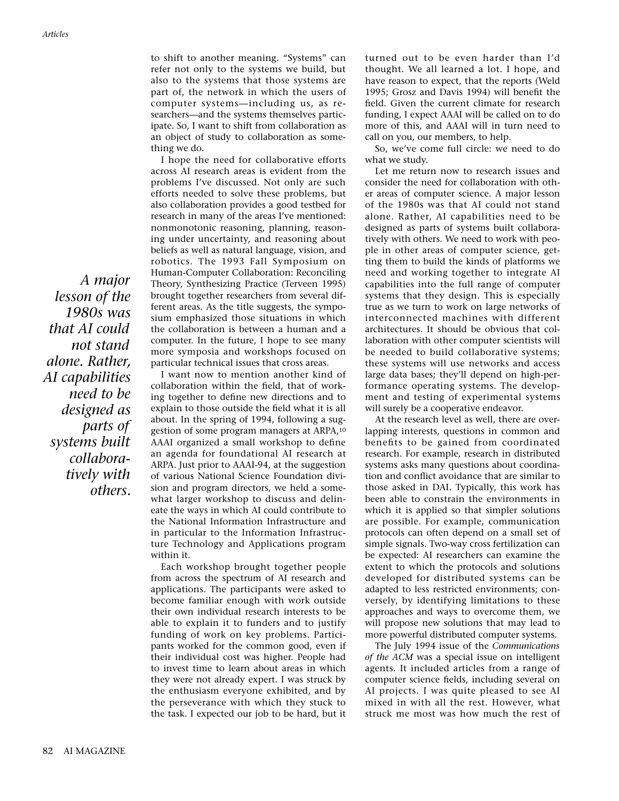*A major lesson of the 1980s was that AI could not stand alone. Rather, AI capabilities need to be designed as parts of systems built collaboratively with others.*

to shift to another meaning. "Systems" can refer not only to the systems we build, but also to the systems that those systems are part of, the network in which the users of computer systems—including us, as researchers—and the systems themselves participate. So, I want to shift from collaboration as an object of study to collaboration as something we do.

I hope the need for collaborative efforts across AI research areas is evident from the problems I've discussed. Not only are such efforts needed to solve these problems, but also collaboration provides a good testbed for research in many of the areas I've mentioned: nonmonotonic reasoning, planning, reasoning under uncertainty, and reasoning about beliefs as well as natural language, vision, and robotics. The 1993 Fall Symposium on Human-Computer Collaboration: Reconciling Theory, Synthesizing Practice (Terveen 1995) brought together researchers from several different areas. As the title suggests, the symposium emphasized those situations in which the collaboration is between a human and a computer. In the future, I hope to see many more symposia and workshops focused on particular technical issues that cross areas.

I want now to mention another kind of collaboration within the field, that of working together to define new directions and to explain to those outside the field what it is all about. In the spring of 1994, following a suggestion of some program managers at ARPA,10 AAAI organized a small workshop to define an agenda for foundational AI research at ARPA. Just prior to AAAI-94, at the suggestion of various National Science Foundation division and program directors, we held a somewhat larger workshop to discuss and delineate the ways in which AI could contribute to the National Information Infrastructure and in particular to the Information Infrastructure Technology and Applications program within it.

Each workshop brought together people from across the spectrum of AI research and applications. The participants were asked to become familiar enough with work outside their own individual research interests to be able to explain it to funders and to justify funding of work on key problems. Participants worked for the common good, even if their individual cost was higher. People had to invest time to learn about areas in which they were not already expert. I was struck by the enthusiasm everyone exhibited, and by the perseverance with which they stuck to the task. I expected our job to be hard, but it

turned out to be even harder than I'd thought. We all learned a lot. I hope, and have reason to expect, that the reports (Weld 1995; Grosz and Davis 1994) will benefit the field. Given the current climate for research funding, I expect AAAI will be called on to do more of this, and AAAI will in turn need to call on you, our members, to help.

So, we've come full circle: we need to do what we study.

Let me return now to research issues and consider the need for collaboration with other areas of computer science. A major lesson of the 1980s was that AI could not stand alone. Rather, AI capabilities need to be designed as parts of systems built collaboratively with others. We need to work with people in other areas of computer science, getting them to build the kinds of platforms we need and working together to integrate AI capabilities into the full range of computer systems that they design. This is especially true as we turn to work on large networks of interconnected machines with different architectures. It should be obvious that collaboration with other computer scientists will be needed to build collaborative systems; these systems will use networks and access large data bases; they'll depend on high-performance operating systems. The development and testing of experimental systems will surely be a cooperative endeavor.

At the research level as well, there are overlapping interests, questions in common and benefits to be gained from coordinated research. For example, research in distributed systems asks many questions about coordination and conflict avoidance that are similar to those asked in DAI. Typically, this work has been able to constrain the environments in which it is applied so that simpler solutions are possible. For example, communication protocols can often depend on a small set of simple signals. Two-way cross fertilization can be expected: AI researchers can examine the extent to which the protocols and solutions developed for distributed systems can be adapted to less restricted environments; conversely, by identifying limitations to these approaches and ways to overcome them, we will propose new solutions that may lead to more powerful distributed computer systems.

The July 1994 issue of the *Communications of the ACM* was a special issue on intelligent agents. It included articles from a range of computer science fields, including several on AI projects. I was quite pleased to see AI mixed in with all the rest. However, what struck me most was how much the rest of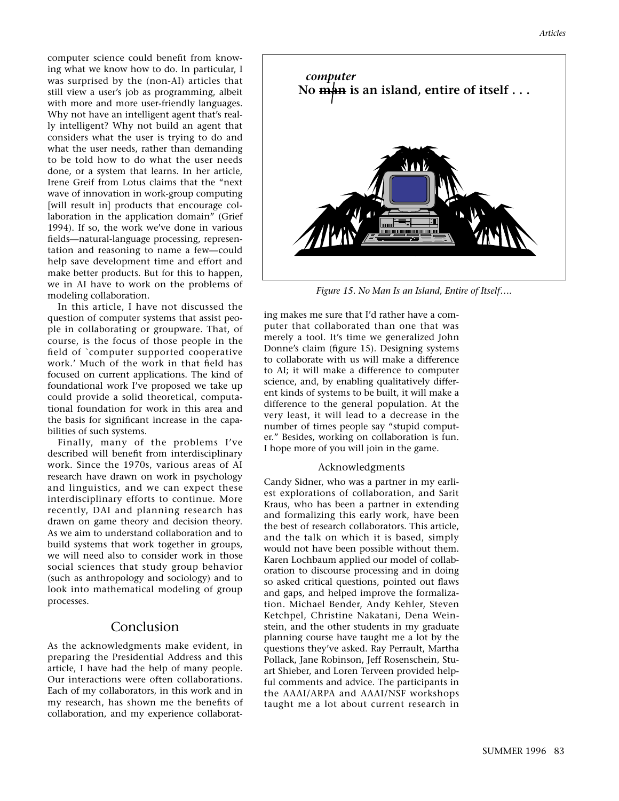computer science could benefit from knowing what we know how to do. In particular, I was surprised by the (non-AI) articles that still view a user's job as programming, albeit with more and more user-friendly languages. Why not have an intelligent agent that's really intelligent? Why not build an agent that considers what the user is trying to do and what the user needs, rather than demanding to be told how to do what the user needs done, or a system that learns. In her article, Irene Greif from Lotus claims that the "next wave of innovation in work-group computing [will result in] products that encourage collaboration in the application domain" (Grief 1994). If so, the work we've done in various fields—natural-language processing, representation and reasoning to name a few—could help save development time and effort and make better products. But for this to happen, we in AI have to work on the problems of modeling collaboration.

In this article, I have not discussed the question of computer systems that assist people in collaborating or groupware. That, of course, is the focus of those people in the field of `computer supported cooperative work.' Much of the work in that field has focused on current applications. The kind of foundational work I've proposed we take up could provide a solid theoretical, computational foundation for work in this area and the basis for significant increase in the capabilities of such systems.

Finally, many of the problems I've described will benefit from interdisciplinary work. Since the 1970s, various areas of AI research have drawn on work in psychology and linguistics, and we can expect these interdisciplinary efforts to continue. More recently, DAI and planning research has drawn on game theory and decision theory. As we aim to understand collaboration and to build systems that work together in groups, we will need also to consider work in those social sciences that study group behavior (such as anthropology and sociology) and to look into mathematical modeling of group processes.

## Conclusion

As the acknowledgments make evident, in preparing the Presidential Address and this article, I have had the help of many people. Our interactions were often collaborations. Each of my collaborators, in this work and in my research, has shown me the benefits of collaboration, and my experience collaborat-



*Figure 15. No Man Is an Island, Entire of Itself….*

ing makes me sure that I'd rather have a computer that collaborated than one that was merely a tool. It's time we generalized John Donne's claim (figure 15). Designing systems to collaborate with us will make a difference to AI; it will make a difference to computer science, and, by enabling qualitatively different kinds of systems to be built, it will make a difference to the general population. At the very least, it will lead to a decrease in the number of times people say "stupid computer." Besides, working on collaboration is fun. I hope more of you will join in the game.

#### Acknowledgments

Candy Sidner, who was a partner in my earliest explorations of collaboration, and Sarit Kraus, who has been a partner in extending and formalizing this early work, have been the best of research collaborators. This article, and the talk on which it is based, simply would not have been possible without them. Karen Lochbaum applied our model of collaboration to discourse processing and in doing so asked critical questions, pointed out flaws and gaps, and helped improve the formalization. Michael Bender, Andy Kehler, Steven Ketchpel, Christine Nakatani, Dena Weinstein, and the other students in my graduate planning course have taught me a lot by the questions they've asked. Ray Perrault, Martha Pollack, Jane Robinson, Jeff Rosenschein, Stuart Shieber, and Loren Terveen provided helpful comments and advice. The participants in the AAAI/ARPA and AAAI/NSF workshops taught me a lot about current research in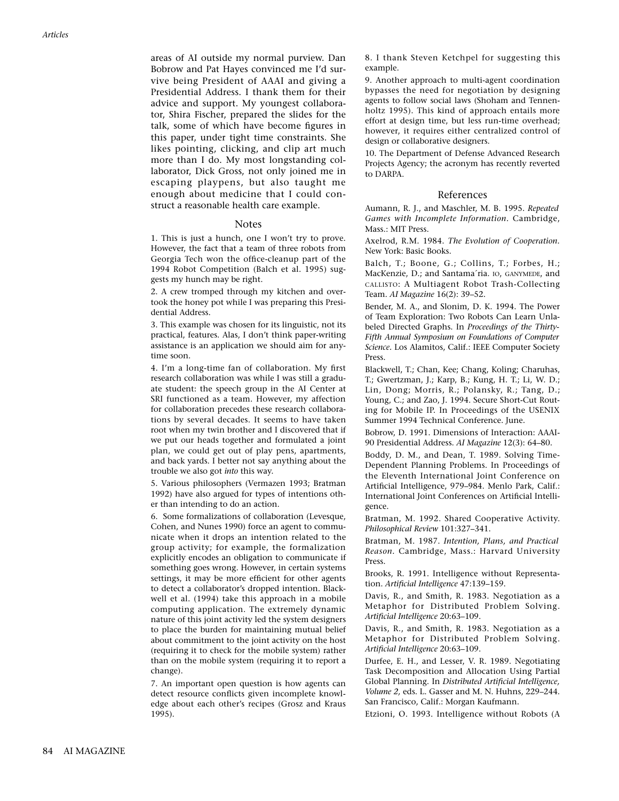areas of AI outside my normal purview. Dan Bobrow and Pat Hayes convinced me I'd survive being President of AAAI and giving a Presidential Address. I thank them for their advice and support. My youngest collaborator, Shira Fischer, prepared the slides for the talk, some of which have become figures in this paper, under tight time constraints. She likes pointing, clicking, and clip art much more than I do. My most longstanding collaborator, Dick Gross, not only joined me in escaping playpens, but also taught me enough about medicine that I could construct a reasonable health care example.

#### **Notes**

1. This is just a hunch, one I won't try to prove. However, the fact that a team of three robots from Georgia Tech won the office-cleanup part of the 1994 Robot Competition (Balch et al. 1995) suggests my hunch may be right.

2. A crew tromped through my kitchen and overtook the honey pot while I was preparing this Presidential Address.

3. This example was chosen for its linguistic, not its practical, features. Alas, I don't think paper-writing assistance is an application we should aim for anytime soon.

4. I'm a long-time fan of collaboration. My first research collaboration was while I was still a graduate student: the speech group in the AI Center at SRI functioned as a team. However, my affection for collaboration precedes these research collaborations by several decades. It seems to have taken root when my twin brother and I discovered that if we put our heads together and formulated a joint plan, we could get out of play pens, apartments, and back yards. I better not say anything about the trouble we also got *into* this way.

5. Various philosophers (Vermazen 1993; Bratman 1992) have also argued for types of intentions other than intending to do an action.

6. Some formalizations of collaboration (Levesque, Cohen, and Nunes 1990) force an agent to communicate when it drops an intention related to the group activity; for example, the formalization explicitly encodes an obligation to communicate if something goes wrong. However, in certain systems settings, it may be more efficient for other agents to detect a collaborator's dropped intention. Blackwell et al. (1994) take this approach in a mobile computing application. The extremely dynamic nature of this joint activity led the system designers to place the burden for maintaining mutual belief about commitment to the joint activity on the host (requiring it to check for the mobile system) rather than on the mobile system (requiring it to report a change).

7. An important open question is how agents can detect resource conflicts given incomplete knowledge about each other's recipes (Grosz and Kraus 1995).

8. I thank Steven Ketchpel for suggesting this example.

9. Another approach to multi-agent coordination bypasses the need for negotiation by designing agents to follow social laws (Shoham and Tennenholtz 1995). This kind of approach entails more effort at design time, but less run-time overhead; however, it requires either centralized control of design or collaborative designers.

10. The Department of Defense Advanced Research Projects Agency; the acronym has recently reverted to DARPA.

#### References

Aumann, R. J., and Maschler, M. B. 1995. *Repeated Games with Incomplete Information.* Cambridge, Mass.: MIT Press.

Axelrod, R.M. 1984. *The Evolution of Cooperation.* New York: Basic Books.

Balch, T.; Boone, G.; Collins, T.; Forbes, H.; MacKenzie, D.; and Santama´ria. IO, GANYMEDE, and CALLISTO: A Multiagent Robot Trash-Collecting Team. *AI Magazine* 16(2): 39–52.

Bender, M. A., and Slonim, D. K. 1994. The Power of Team Exploration: Two Robots Can Learn Unlabeled Directed Graphs. In *Proceedings of the Thirty-Fifth Annual Symposium on Foundations of Computer Science.* Los Alamitos, Calif.: IEEE Computer Society Press.

Blackwell, T.; Chan, Kee; Chang, Koling; Charuhas, T.; Gwertzman, J.; Karp, B.; Kung, H. T.; Li, W. D.; Lin, Dong; Morris, R.; Polansky, R.; Tang, D.; Young, C.; and Zao, J. 1994. Secure Short-Cut Routing for Mobile IP. In Proceedings of the USENIX Summer 1994 Technical Conference. June.

Bobrow, D. 1991. Dimensions of Interaction: AAAI-90 Presidential Address. *AI Magazine* 12(3): 64–80.

Boddy, D. M., and Dean, T. 1989. Solving Time-Dependent Planning Problems. In Proceedings of the Eleventh International Joint Conference on Artificial Intelligence, 979–984. Menlo Park, Calif.: International Joint Conferences on Artificial Intelligence.

Bratman, M. 1992. Shared Cooperative Activity. *Philosophical Review* 101:327–341.

Bratman, M. 1987. *Intention, Plans, and Practical Reason.* Cambridge, Mass.: Harvard University Press.

Brooks, R. 1991. Intelligence without Representation. *Artificial Intelligence* 47:139–159.

Davis, R., and Smith, R. 1983. Negotiation as a Metaphor for Distributed Problem Solving. *Artificial Intelligence* 20:63–109.

Davis, R., and Smith, R. 1983. Negotiation as a Metaphor for Distributed Problem Solving. *Artificial Intelligence* 20:63–109.

Durfee, E. H., and Lesser, V. R. 1989. Negotiating Task Decomposition and Allocation Using Partial Global Planning. In *Distributed Artificial Intelligence, Volume 2,* eds. L. Gasser and M. N. Huhns, 229–244. San Francisco, Calif.: Morgan Kaufmann.

Etzioni, O. 1993. Intelligence without Robots (A